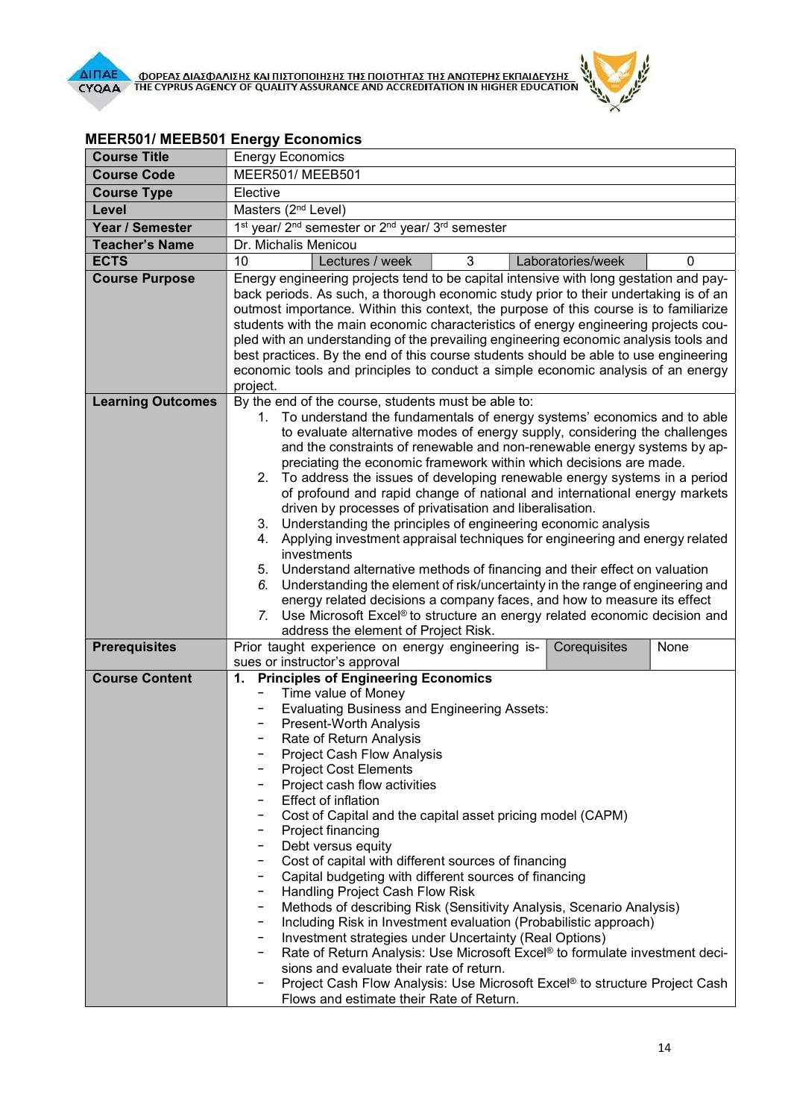

| <b>Course Title</b>      | <b>Energy Economics</b>                                                                                                                            |
|--------------------------|----------------------------------------------------------------------------------------------------------------------------------------------------|
| <b>Course Code</b>       | MEER501/MEEB501                                                                                                                                    |
| <b>Course Type</b>       | Elective                                                                                                                                           |
| Level                    | Masters (2 <sup>nd</sup> Level)                                                                                                                    |
| Year / Semester          | 1 <sup>st</sup> year/ 2 <sup>nd</sup> semester or 2 <sup>nd</sup> year/ 3 <sup>rd</sup> semester                                                   |
| <b>Teacher's Name</b>    | Dr. Michalis Menicou                                                                                                                               |
| <b>ECTS</b>              | 10<br>3<br>Lectures / week<br>Laboratories/week<br>0                                                                                               |
| <b>Course Purpose</b>    | Energy engineering projects tend to be capital intensive with long gestation and pay-                                                              |
|                          | back periods. As such, a thorough economic study prior to their undertaking is of an                                                               |
|                          | outmost importance. Within this context, the purpose of this course is to familiarize                                                              |
|                          | students with the main economic characteristics of energy engineering projects cou-                                                                |
|                          | pled with an understanding of the prevailing engineering economic analysis tools and                                                               |
|                          | best practices. By the end of this course students should be able to use engineering                                                               |
|                          | economic tools and principles to conduct a simple economic analysis of an energy<br>project.                                                       |
| <b>Learning Outcomes</b> | By the end of the course, students must be able to:                                                                                                |
|                          | 1. To understand the fundamentals of energy systems' economics and to able                                                                         |
|                          | to evaluate alternative modes of energy supply, considering the challenges                                                                         |
|                          | and the constraints of renewable and non-renewable energy systems by ap-                                                                           |
|                          | preciating the economic framework within which decisions are made.                                                                                 |
|                          | 2. To address the issues of developing renewable energy systems in a period                                                                        |
|                          | of profound and rapid change of national and international energy markets                                                                          |
|                          | driven by processes of privatisation and liberalisation.                                                                                           |
|                          | 3. Understanding the principles of engineering economic analysis<br>4. Applying investment appraisal techniques for engineering and energy related |
|                          | investments                                                                                                                                        |
|                          | 5. Understand alternative methods of financing and their effect on valuation                                                                       |
|                          | 6. Understanding the element of risk/uncertainty in the range of engineering and                                                                   |
|                          | energy related decisions a company faces, and how to measure its effect                                                                            |
|                          | 7. Use Microsoft Excel® to structure an energy related economic decision and                                                                       |
|                          | address the element of Project Risk.                                                                                                               |
| <b>Prerequisites</b>     | Prior taught experience on energy engineering is-<br>Corequisites<br>None                                                                          |
| <b>Course Content</b>    | sues or instructor's approval                                                                                                                      |
|                          | <b>Principles of Engineering Economics</b><br>1.<br>Time value of Money                                                                            |
|                          | <b>Evaluating Business and Engineering Assets:</b>                                                                                                 |
|                          | Present-Worth Analysis                                                                                                                             |
|                          | Rate of Return Analysis                                                                                                                            |
|                          | <b>Project Cash Flow Analysis</b>                                                                                                                  |
|                          | <b>Project Cost Elements</b>                                                                                                                       |
|                          | Project cash flow activities                                                                                                                       |
|                          | <b>Effect of inflation</b>                                                                                                                         |
|                          | Cost of Capital and the capital asset pricing model (CAPM)<br>Project financing                                                                    |
|                          | Debt versus equity                                                                                                                                 |
|                          | Cost of capital with different sources of financing<br>-                                                                                           |
|                          | Capital budgeting with different sources of financing<br>-                                                                                         |
|                          | Handling Project Cash Flow Risk<br>-                                                                                                               |
|                          | Methods of describing Risk (Sensitivity Analysis, Scenario Analysis)<br>-                                                                          |
|                          | Including Risk in Investment evaluation (Probabilistic approach)                                                                                   |
|                          | Investment strategies under Uncertainty (Real Options)<br>-                                                                                        |
|                          | Rate of Return Analysis: Use Microsoft Excel® to formulate investment deci-                                                                        |
|                          | sions and evaluate their rate of return.<br>Project Cash Flow Analysis: Use Microsoft Excel® to structure Project Cash                             |
|                          | Flows and estimate their Rate of Return.                                                                                                           |

## MEER501/ MEEΒ501 Energy Economics

**All Coleman**